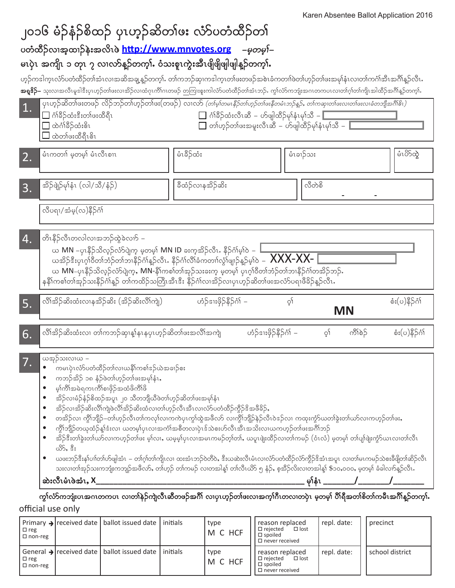|                                                                                         |                                                                                                                                                                                                                                                                                                                                                                                                                                                                                                                                                                                                                                                                                                                                                                                                                                                                                                                                                                                                                                                                                                                                  | ၂၀၁၆ မံဉ်နံဉ်စိထဉ် ပုၤဟ့ဉ်ဆိတၢ်ဖး လံာ်ပတံထိဉ်တၢ်                                                                                                                                                                                                                                                                                                                                                                            |                  |                        |                        |                 | "CIT's woonled Dallot's ppiloation Lond |          |                 |
|-----------------------------------------------------------------------------------------|----------------------------------------------------------------------------------------------------------------------------------------------------------------------------------------------------------------------------------------------------------------------------------------------------------------------------------------------------------------------------------------------------------------------------------------------------------------------------------------------------------------------------------------------------------------------------------------------------------------------------------------------------------------------------------------------------------------------------------------------------------------------------------------------------------------------------------------------------------------------------------------------------------------------------------------------------------------------------------------------------------------------------------------------------------------------------------------------------------------------------------|-----------------------------------------------------------------------------------------------------------------------------------------------------------------------------------------------------------------------------------------------------------------------------------------------------------------------------------------------------------------------------------------------------------------------------|------------------|------------------------|------------------------|-----------------|-----------------------------------------|----------|-----------------|
|                                                                                         |                                                                                                                                                                                                                                                                                                                                                                                                                                                                                                                                                                                                                                                                                                                                                                                                                                                                                                                                                                                                                                                                                                                                  | ပတံထိဉ်လၢအ့ထၢဉ်နဲးအလိၤစဲ http://www.mnvotes.org <i>–မှတမှါ–</i>                                                                                                                                                                                                                                                                                                                                                             |                  |                        |                        |                 |                                         |          |                 |
|                                                                                         |                                                                                                                                                                                                                                                                                                                                                                                                                                                                                                                                                                                                                                                                                                                                                                                                                                                                                                                                                                                                                                                                                                                                  | မၤပုဲၤ အကျိၤ ၁ တုၤ ၇ လၢလာ်န္ဥာ်တက္နၤ် ဝံသးစူၤကွဲးအီၤဖျိဖျိဖျါဖျါန္ဥာ်တက္နၤ်                                                                                                                                                                                                                                                                                                                                                 |                  |                        |                        |                 |                                         |          |                 |
|                                                                                         |                                                                                                                                                                                                                                                                                                                                                                                                                                                                                                                                                                                                                                                                                                                                                                                                                                                                                                                                                                                                                                                                                                                                  | ဟ့ဉ်ကဒါကူးလံာ်ပတံထိဉ်တါအံၤလၢအဆိအချ့န္ဥာ်တက္}ႉ တါကဘဉ်ဆု၊ကဒါက္ၤတါဖးတဖဉ်အစဲၤခံကတၢါဖဲတါဟ့ဉ်တါဖးအမုါနံၤလ၊တါကဂၢိအိၤအဂါန္ဉာ်လိၤႉ<br><b>အရှု&amp;်)–</b> သုးလၢအလိၤမူဒါနီးပှၤဟ့ဉ်တါဖးလ၊အိဉ်လ၊ထံဂုၤကိါဂၤတဖဉ် တကြးစူးကါလံာ်ပတံထိဉ်တါအံၤဘဉ်ႉ ကွါလံာ်ကဘုံးအဂၤတကပၤလ၊တါဂုါတါကျိၤအါထိဉ်အဂိါန္ဉာတက္၊််                                                                                                                                       |                  |                        |                        |                 |                                         |          |                 |
| 1.                                                                                      | ပုၤဟ္ဥ်ာဆိတၤ်ဖူးတဖဉ် လိဉ်ဘဉ်တၤ်ဟုဉ်တၤ်ဖူး(တဖဉ်) လၤလာ <i>(တၤ်မ့္ပ်တမၤနီဉ်တၤ်ဟုဉ်တၤ်ဖန်တမံၤဘဉ်နဉ်, တၤ်ကဆု၊တၤ်ဖူးလၤစ်တဘျီအဂ်ိုမ်း)</i><br>□ ဂံၢိနိ5်ထံးဒီးတၢ်ဖးထိရိၤ<br>$\Box$ ဂံါခိဉ်ထံးလီၤဆီ – ဟ်ဖျါထိဉ်မှါနံၤမုါသီ – $\Box$<br>ြ ထဲဂ်ၢိခိ်>ိုထံးမိၤ<br>■ တၢ်ဟုဉ်တၢ်ဖးအမူးလီၤဆီ – ဟ်ဖျါထိဉ်မှၢ်နံၤမှၢ်သီ –<br>ထဲတ်ဖးထိရီၤ၆ၤ                                                                                                                                                                                                                                                                                                                                                                                                                                                                                                                                                                                                                                                                                                                                                                                                       |                                                                                                                                                                                                                                                                                                                                                                                                                             |                  |                        |                        |                 |                                         |          |                 |
| 2.                                                                                      | မံၤကတၢ် မှတမှါ် မံၤလီၤစၢၤ                                                                                                                                                                                                                                                                                                                                                                                                                                                                                                                                                                                                                                                                                                                                                                                                                                                                                                                                                                                                                                                                                                        |                                                                                                                                                                                                                                                                                                                                                                                                                             | မံၤခိဉ်ထံး       |                        |                        | မံၤခၢဉ်သး       |                                         |          | မံၤပိ>်ထွဲ      |
| 3.                                                                                      | အိဉ်ဖျဲဉ်မုန်းၤ (လါ/သီ/နံဉ်)                                                                                                                                                                                                                                                                                                                                                                                                                                                                                                                                                                                                                                                                                                                                                                                                                                                                                                                                                                                                                                                                                                     |                                                                                                                                                                                                                                                                                                                                                                                                                             | ခီထံဉ်လၢနအိဉ်ဆိး |                        |                        | လီတဲစိ          |                                         |          |                 |
|                                                                                         | လီပရາ/အံမှ(လ)နိ5်ငံ္ဂါ                                                                                                                                                                                                                                                                                                                                                                                                                                                                                                                                                                                                                                                                                                                                                                                                                                                                                                                                                                                                                                                                                                           |                                                                                                                                                                                                                                                                                                                                                                                                                             |                  |                        |                        |                 |                                         |          |                 |
| $\boldsymbol{4}$ .                                                                      | တိၤနိဉ်လီၤတလါလၢအဘဉ်ထွဲခဲလၢာ် –                                                                                                                                                                                                                                                                                                                                                                                                                                                                                                                                                                                                                                                                                                                                                                                                                                                                                                                                                                                                                                                                                                   | ယ MN –ပုၤနိဉ်သိလ္ဉ်လံာ်ပျဲက့ မ့တမ့္် MN ID ခႏက္နအိဉ်လီၤႉ နိဉ်ဂၢိမ္ါဝဲ –<br>ယအိဉ်ဒီးပှၤဂ္ဂါဝိတၢ်ဘံဉ်တၢ်ဘ၊နိဉ်ဂံ၊န့ဉ်လီၤ. နိဉ်ဂံ၊လိ၊်ခံကတၢါလွှံ၊်ဖျာဉ်နှဉ်မှ $\delta$ – $\overline{\bf XXX\text{-}XX\text{-}}$<br>ယ MN–ပုၤနိဉ်သိလ္ဉ်လံာ်ပျဲက့ႇ MN-နိၢ်ကစၢ်တ၊်အုဉ်သးခးက့ မ့တမ့၊် ပုၤဂ့ၢ်ဝိတၢ်ဘံဉ်တ၊်ဘ၊နိဉ်ငံ၊်တအိဉ်ဘဉ်ႉ<br>နနိ1်ကစါတါအုဉ်သးနိဉ်ဂံၢိန့ဉ် တါကထိဉ်သတြီၤအီၤဒီး နိဉ်ဂံၢ်လၢအိဉ်လ၊ပှၤဟ့ဉ်ဆိတ၊်ဖးအလံာ်ပရၢဖီခိဉ်န့ဉ်လီၤ |                  |                        |                        |                 |                                         |          |                 |
| 5.                                                                                      |                                                                                                                                                                                                                                                                                                                                                                                                                                                                                                                                                                                                                                                                                                                                                                                                                                                                                                                                                                                                                                                                                                                                  | လိၢ်အိဉ်ဆိးထံးလၢနအိဉ်ဆိး (အိဉ်ဆိးလိၢ်ကျဲ့)                                                                                                                                                                                                                                                                                                                                                                                  |                  | ဟံဉ်ဒၢးဖိုဉ်နိဉ်ဂံ၊် – |                        | òĮ              | <b>MN</b>                               |          | စံး(ပ)နိ5ုဂံၢ်  |
| 6.                                                                                      |                                                                                                                                                                                                                                                                                                                                                                                                                                                                                                                                                                                                                                                                                                                                                                                                                                                                                                                                                                                                                                                                                                                                  | လိၢိအိဉ်ဆိးထံးလ၊ တၢ်ကဘဉ်ဆု၊န္၊်နၤနပုၤဟ့ဉ်ဆိတၢ်ဖးအလိၢ်အကျဲ                                                                                                                                                                                                                                                                                                                                                                   |                  |                        | ဟံဉ်ဒၢးဖိုဉ်နိဉ်ဂံ၊် – |                 | ကိၤ်စဉ်<br>ैं।                          |          | စံး(ပ)နိ5်င်္ဂါ |
| $\bullet$<br>$\bullet$<br>$\bullet$<br>$\bullet$<br>$\bullet$<br>$\bullet$<br>$\bullet$ | ယအုဉ်သးလၢယ –<br>ကမၤပုံၤလံာ်ပတံထိဉ်တၢ်လၢယနိၢ်ကစၢ်ဒဉ်ယဲအခၢဉ်စး<br>ကဘဉ်အိဉ် ၁၈ နံ့ဉ်ဖဲတ၊်ဟုဉ်တ၊်ဖးအမှါနံး,<br>မ္နုယ္စုအဓမယာယ္စုစပင္ပဲသထ့၀ွယ္စု၀ွ<br>အိဉ်လၢမံဉ်နံဉ်စိထဉ်အပူၤ ၂၀ သိတဘျိယိဖဲတၢ်ဟ့ဉ်ဆိတၢ်ဖးအမှၢ်နံၤ<br>အိဉ်လ၊အိဉ်ဆိးလိါကျဲဖဲလိါအိဉ်ဆိးထံလ၊တါဟုဉ်လီၤအီၤလ၊လံာ်ပတံထိဉ်ကွိဉ်ဒိအဖိခိဉ်,<br>တအိဉ်လ၊ ကွီၢ်ဘျိဉ်–တၢ်ဟ္ဉ်ာလီၤတၢ်ကလု၊်လ၊ကကဲပုၤကွၢ်ထွဲအဖိလာ် လ၊ကွိၢ်ဘျိဉ်နဲဉ်လီၤဝဲဒဉ်လ၊ ကထုးကွံာ်ယတၢ်ခွဲးတ၊်ယာလ၊ကဟ္ဉ်ာတ၊်ဖႏ<br>ကွိၢ်ဘျိဉ်တယုထံဉ်န္1်ဒးလ၊ ယတမ့္ပ်ပုၤလၢအကံၤ်အစီတလၢပုံၤဒ်သဲစးဟ်လီၤအီၤအသိးလ၊ယကဟ္နဉ်တ၊်ဖးအင်္ဂါဘဉ်<br>အိဉ်ဒီးတၢ်ခွဲးတ၊်ယာ်လ၊ကဟုဉ်တ၊်ဖး မ့၊်လ၊ႇ ယမ္နမ္၊်ပုၤလ၊အမၤကမဉ်တ္၊်တ၊ဴႇ ယပူၤဖျံးထိဉ်လ၊တ၊်ကမဉ် (ဝံၤလံ) မှတမ့၊် တ၊်ပျ၊်ဖျံးကွံာ်ယၤလ၊တ၊်လီၤ<br>ವಿS, ಕಿ <b>:</b><br>ယဖးဘဉ်ဒီးန၊်ပၢါတါဟ်ဖျါအံၤ – တါဂူါတါကျိၤလ၊ ထးအံၤဘဉ်ဝတီဝဲ, ဒီးယဆဲးလီၤမံၤလ၊လံာ်ပတံထိဉ်လံာကွိဉ်ဒိအံၤအပူၤ လ၊တါမၤကမဉ်သဲစးခီဖျိတၢ်ဆိဉ်လီၤ<br>သးလ၊တါအုဉ်သးကဘျုံးကဘျဉ်အဖိလာ်, တါဟုဉ် တါကမဉ် လ၊တအါန့၊် တါလီၤယိာ ၅ နံဉ်, စ့အိဉ်လိးလ၊တအါန့၊် \$၁၀,၀၀၀, မှတမှ၊် ခံခါလက်နူဉ်လီၤ.<br><u> ဆဲးလီၤမံၤဖဲအံၤ, X</u><br>ကွၢ်လံာ်ကဘျံးပၤအဂၤတကပၤ လ၊တၢ်နဲဉ်ကျဲလီၤဆီတဖဉ်အဂိၢိ လ၊ပုၤဟ့ဉ်တ၊်ဖးလ၊အက္ဒ္ပါဂီၤတလ၊တပုံၤ မှတမ္ဒ၊် ပိါရီအတ၊်စိတ၊်ကမီၤအဂိၢိန္ဉာ်တက္၊်… |                                                                                                                                                                                                                                                                                                                                                                                                                             |                  |                        |                        |                 |                                         |          |                 |
| official use only                                                                       |                                                                                                                                                                                                                                                                                                                                                                                                                                                                                                                                                                                                                                                                                                                                                                                                                                                                                                                                                                                                                                                                                                                                  |                                                                                                                                                                                                                                                                                                                                                                                                                             |                  |                        |                        |                 |                                         |          |                 |
|                                                                                         | Primary $\rightarrow$ received date                                                                                                                                                                                                                                                                                                                                                                                                                                                                                                                                                                                                                                                                                                                                                                                                                                                                                                                                                                                                                                                                                              | ballot issued date                                                                                                                                                                                                                                                                                                                                                                                                          | initials         | type                   |                        | reason replaced | repl. date:                             | precinct |                 |

| $\Box$ reg<br>$\Box$ non-reg | Primary → received date   ballot issued date   initials             | type<br>M C HCF | reason replaced<br>I □ reiected<br>$\Box$ lost<br>$\square$ spoiled<br>$\Box$ never received    | repi. date: | precinct        |
|------------------------------|---------------------------------------------------------------------|-----------------|-------------------------------------------------------------------------------------------------|-------------|-----------------|
| $\Box$ reg<br>$\Box$ non-reg | General $\rightarrow$ received date   ballot issued date   initials | type<br>M C HCF | reason replaced<br>$\Box$ lost<br>$\Box$ reiected<br>$\square$ spoiled<br>$\Box$ never received | repl. date: | school district |